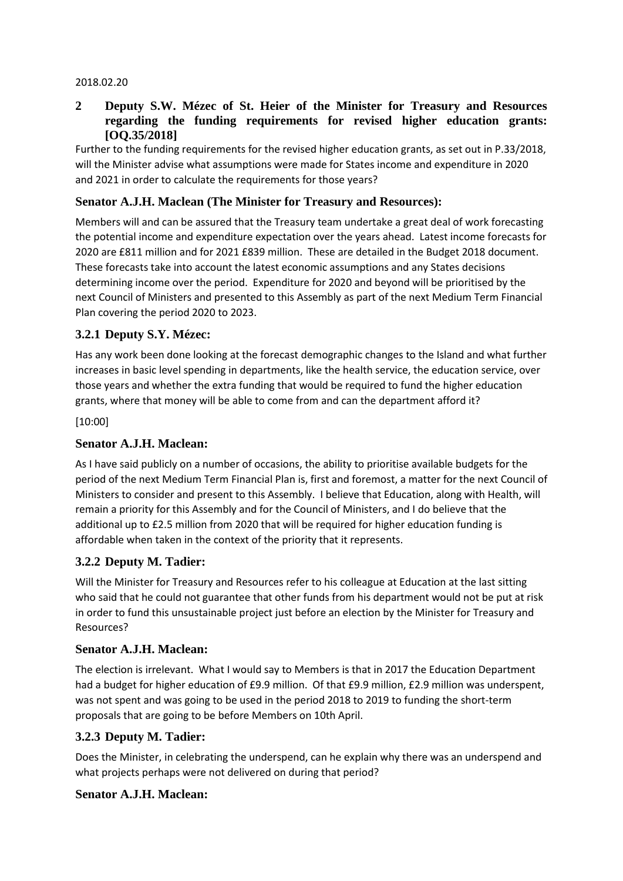#### 2018.02.20

### **2 Deputy S.W. Mézec of St. Heier of the Minister for Treasury and Resources regarding the funding requirements for revised higher education grants: [OQ.35/2018]**

Further to the funding requirements for the revised higher education grants, as set out in P.33/2018, will the Minister advise what assumptions were made for States income and expenditure in 2020 and 2021 in order to calculate the requirements for those years?

### **Senator A.J.H. Maclean (The Minister for Treasury and Resources):**

Members will and can be assured that the Treasury team undertake a great deal of work forecasting the potential income and expenditure expectation over the years ahead. Latest income forecasts for 2020 are £811 million and for 2021 £839 million. These are detailed in the Budget 2018 document. These forecasts take into account the latest economic assumptions and any States decisions determining income over the period. Expenditure for 2020 and beyond will be prioritised by the next Council of Ministers and presented to this Assembly as part of the next Medium Term Financial Plan covering the period 2020 to 2023.

## **3.2.1 Deputy S.Y. Mézec:**

Has any work been done looking at the forecast demographic changes to the Island and what further increases in basic level spending in departments, like the health service, the education service, over those years and whether the extra funding that would be required to fund the higher education grants, where that money will be able to come from and can the department afford it?

[10:00]

### **Senator A.J.H. Maclean:**

As I have said publicly on a number of occasions, the ability to prioritise available budgets for the period of the next Medium Term Financial Plan is, first and foremost, a matter for the next Council of Ministers to consider and present to this Assembly. I believe that Education, along with Health, will remain a priority for this Assembly and for the Council of Ministers, and I do believe that the additional up to £2.5 million from 2020 that will be required for higher education funding is affordable when taken in the context of the priority that it represents.

### **3.2.2 Deputy M. Tadier:**

Will the Minister for Treasury and Resources refer to his colleague at Education at the last sitting who said that he could not guarantee that other funds from his department would not be put at risk in order to fund this unsustainable project just before an election by the Minister for Treasury and Resources?

### **Senator A.J.H. Maclean:**

The election is irrelevant. What I would say to Members is that in 2017 the Education Department had a budget for higher education of £9.9 million. Of that £9.9 million, £2.9 million was underspent, was not spent and was going to be used in the period 2018 to 2019 to funding the short-term proposals that are going to be before Members on 10th April.

### **3.2.3 Deputy M. Tadier:**

Does the Minister, in celebrating the underspend, can he explain why there was an underspend and what projects perhaps were not delivered on during that period?

### **Senator A.J.H. Maclean:**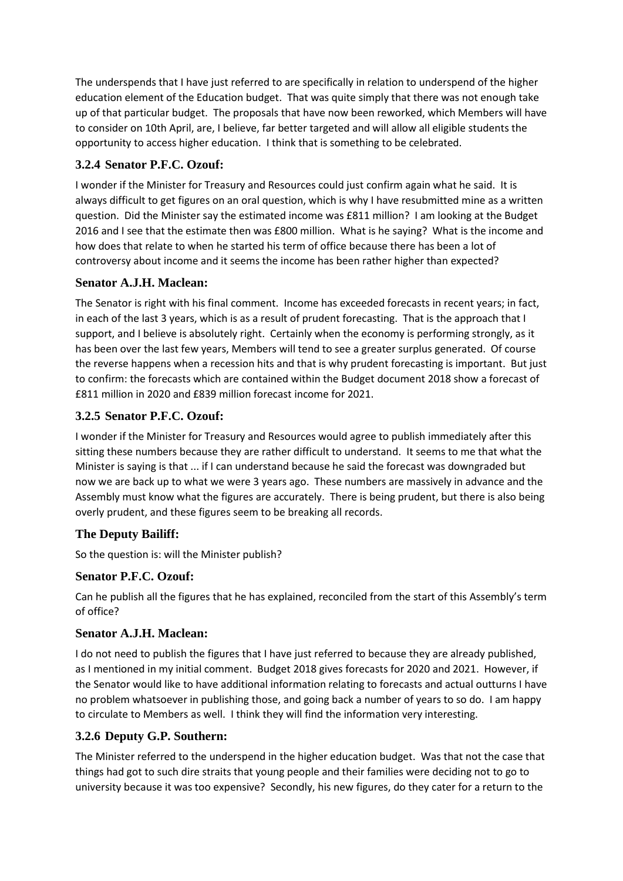The underspends that I have just referred to are specifically in relation to underspend of the higher education element of the Education budget. That was quite simply that there was not enough take up of that particular budget. The proposals that have now been reworked, which Members will have to consider on 10th April, are, I believe, far better targeted and will allow all eligible students the opportunity to access higher education. I think that is something to be celebrated.

## **3.2.4 Senator P.F.C. Ozouf:**

I wonder if the Minister for Treasury and Resources could just confirm again what he said. It is always difficult to get figures on an oral question, which is why I have resubmitted mine as a written question. Did the Minister say the estimated income was £811 million? I am looking at the Budget 2016 and I see that the estimate then was £800 million. What is he saying? What is the income and how does that relate to when he started his term of office because there has been a lot of controversy about income and it seems the income has been rather higher than expected?

## **Senator A.J.H. Maclean:**

The Senator is right with his final comment. Income has exceeded forecasts in recent years; in fact, in each of the last 3 years, which is as a result of prudent forecasting. That is the approach that I support, and I believe is absolutely right. Certainly when the economy is performing strongly, as it has been over the last few years, Members will tend to see a greater surplus generated. Of course the reverse happens when a recession hits and that is why prudent forecasting is important. But just to confirm: the forecasts which are contained within the Budget document 2018 show a forecast of £811 million in 2020 and £839 million forecast income for 2021.

## **3.2.5 Senator P.F.C. Ozouf:**

I wonder if the Minister for Treasury and Resources would agree to publish immediately after this sitting these numbers because they are rather difficult to understand. It seems to me that what the Minister is saying is that ... if I can understand because he said the forecast was downgraded but now we are back up to what we were 3 years ago. These numbers are massively in advance and the Assembly must know what the figures are accurately. There is being prudent, but there is also being overly prudent, and these figures seem to be breaking all records.

## **The Deputy Bailiff:**

So the question is: will the Minister publish?

## **Senator P.F.C. Ozouf:**

Can he publish all the figures that he has explained, reconciled from the start of this Assembly's term of office?

## **Senator A.J.H. Maclean:**

I do not need to publish the figures that I have just referred to because they are already published, as I mentioned in my initial comment. Budget 2018 gives forecasts for 2020 and 2021. However, if the Senator would like to have additional information relating to forecasts and actual outturns I have no problem whatsoever in publishing those, and going back a number of years to so do. I am happy to circulate to Members as well. I think they will find the information very interesting.

# **3.2.6 Deputy G.P. Southern:**

The Minister referred to the underspend in the higher education budget. Was that not the case that things had got to such dire straits that young people and their families were deciding not to go to university because it was too expensive? Secondly, his new figures, do they cater for a return to the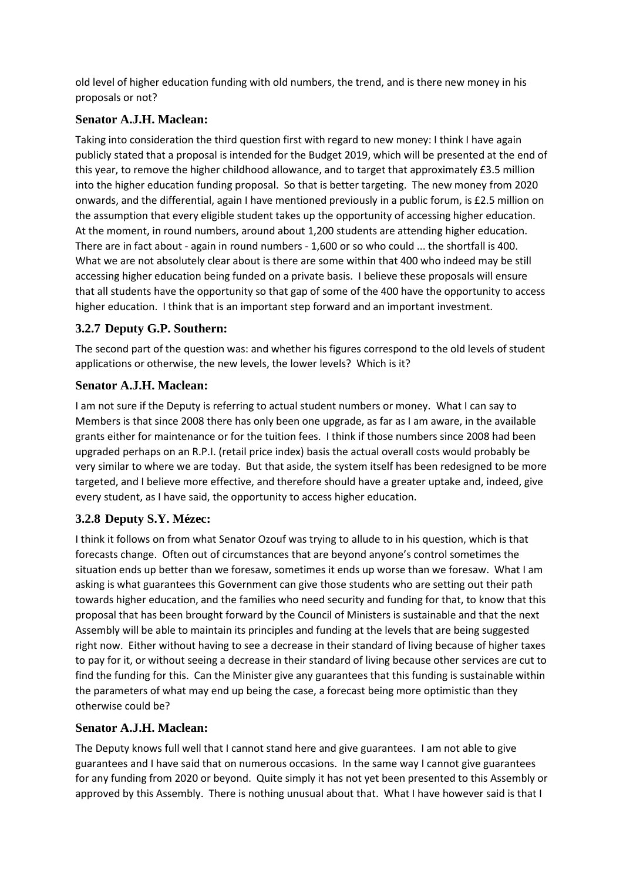old level of higher education funding with old numbers, the trend, and is there new money in his proposals or not?

## **Senator A.J.H. Maclean:**

Taking into consideration the third question first with regard to new money: I think I have again publicly stated that a proposal is intended for the Budget 2019, which will be presented at the end of this year, to remove the higher childhood allowance, and to target that approximately £3.5 million into the higher education funding proposal. So that is better targeting. The new money from 2020 onwards, and the differential, again I have mentioned previously in a public forum, is £2.5 million on the assumption that every eligible student takes up the opportunity of accessing higher education. At the moment, in round numbers, around about 1,200 students are attending higher education. There are in fact about - again in round numbers - 1,600 or so who could ... the shortfall is 400. What we are not absolutely clear about is there are some within that 400 who indeed may be still accessing higher education being funded on a private basis. I believe these proposals will ensure that all students have the opportunity so that gap of some of the 400 have the opportunity to access higher education. I think that is an important step forward and an important investment.

# **3.2.7 Deputy G.P. Southern:**

The second part of the question was: and whether his figures correspond to the old levels of student applications or otherwise, the new levels, the lower levels? Which is it?

## **Senator A.J.H. Maclean:**

I am not sure if the Deputy is referring to actual student numbers or money. What I can say to Members is that since 2008 there has only been one upgrade, as far as I am aware, in the available grants either for maintenance or for the tuition fees. I think if those numbers since 2008 had been upgraded perhaps on an R.P.I. (retail price index) basis the actual overall costs would probably be very similar to where we are today. But that aside, the system itself has been redesigned to be more targeted, and I believe more effective, and therefore should have a greater uptake and, indeed, give every student, as I have said, the opportunity to access higher education.

# **3.2.8 Deputy S.Y. Mézec:**

I think it follows on from what Senator Ozouf was trying to allude to in his question, which is that forecasts change. Often out of circumstances that are beyond anyone's control sometimes the situation ends up better than we foresaw, sometimes it ends up worse than we foresaw. What I am asking is what guarantees this Government can give those students who are setting out their path towards higher education, and the families who need security and funding for that, to know that this proposal that has been brought forward by the Council of Ministers is sustainable and that the next Assembly will be able to maintain its principles and funding at the levels that are being suggested right now. Either without having to see a decrease in their standard of living because of higher taxes to pay for it, or without seeing a decrease in their standard of living because other services are cut to find the funding for this. Can the Minister give any guarantees that this funding is sustainable within the parameters of what may end up being the case, a forecast being more optimistic than they otherwise could be?

# **Senator A.J.H. Maclean:**

The Deputy knows full well that I cannot stand here and give guarantees. I am not able to give guarantees and I have said that on numerous occasions. In the same way I cannot give guarantees for any funding from 2020 or beyond. Quite simply it has not yet been presented to this Assembly or approved by this Assembly. There is nothing unusual about that. What I have however said is that I